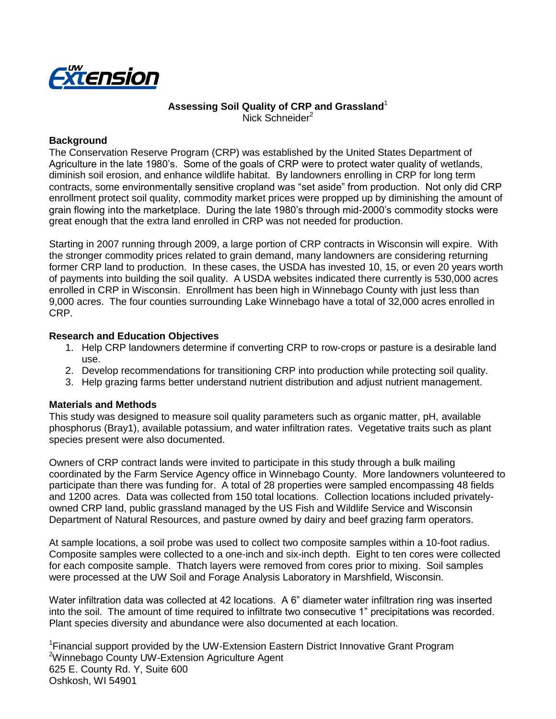

#### **Assessing Soil Quality of CRP and Grassland**<sup>1</sup> Nick Schneider<sup>2</sup>

#### **Background**

The Conservation Reserve Program (CRP) was established by the United States Department of Agriculture in the late 1980's. Some of the goals of CRP were to protect water quality of wetlands, diminish soil erosion, and enhance wildlife habitat. By landowners enrolling in CRP for long term contracts, some environmentally sensitive cropland was "set aside" from production. Not only did CRP enrollment protect soil quality, commodity market prices were propped up by diminishing the amount of grain flowing into the marketplace. During the late 1980's through mid-2000's commodity stocks were great enough that the extra land enrolled in CRP was not needed for production.

Starting in 2007 running through 2009, a large portion of CRP contracts in Wisconsin will expire. With the stronger commodity prices related to grain demand, many landowners are considering returning former CRP land to production. In these cases, the USDA has invested 10, 15, or even 20 years worth of payments into building the soil quality. A USDA websites indicated there currently is 530,000 acres enrolled in CRP in Wisconsin. Enrollment has been high in Winnebago County with just less than 9,000 acres. The four counties surrounding Lake Winnebago have a total of 32,000 acres enrolled in CRP.

#### **Research and Education Objectives**

- 1. Help CRP landowners determine if converting CRP to row-crops or pasture is a desirable land use.
- 2. Develop recommendations for transitioning CRP into production while protecting soil quality.
- 3. Help grazing farms better understand nutrient distribution and adjust nutrient management.

#### **Materials and Methods**

This study was designed to measure soil quality parameters such as organic matter, pH, available phosphorus (Bray1), available potassium, and water infiltration rates. Vegetative traits such as plant species present were also documented.

Owners of CRP contract lands were invited to participate in this study through a bulk mailing coordinated by the Farm Service Agency office in Winnebago County. More landowners volunteered to participate than there was funding for. A total of 28 properties were sampled encompassing 48 fields and 1200 acres. Data was collected from 150 total locations. Collection locations included privatelyowned CRP land, public grassland managed by the US Fish and Wildlife Service and Wisconsin Department of Natural Resources, and pasture owned by dairy and beef grazing farm operators.

At sample locations, a soil probe was used to collect two composite samples within a 10-foot radius. Composite samples were collected to a one-inch and six-inch depth. Eight to ten cores were collected for each composite sample. Thatch layers were removed from cores prior to mixing. Soil samples were processed at the UW Soil and Forage Analysis Laboratory in Marshfield, Wisconsin.

Water infiltration data was collected at 42 locations. A 6" diameter water infiltration ring was inserted into the soil. The amount of time required to infiltrate two consecutive 1" precipitations was recorded. Plant species diversity and abundance were also documented at each location.

<sup>1</sup>Financial support provided by the UW-Extension Eastern District Innovative Grant Program <sup>2</sup>Winnebago County UW-Extension Agriculture Agent 625 E. County Rd. Y, Suite 600 Oshkosh, WI 54901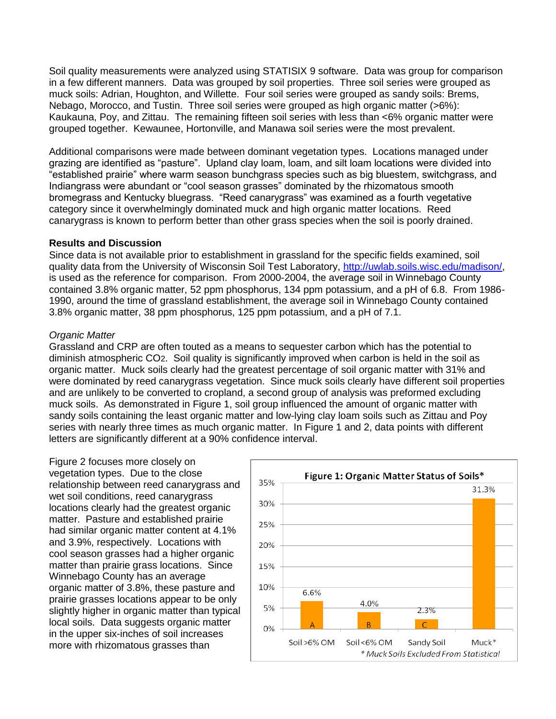Soil quality measurements were analyzed using STATISIX 9 software. Data was group for comparison in a few different manners. Data was grouped by soil properties. Three soil series were grouped as muck soils: Adrian, Houghton, and Willette. Four soil series were grouped as sandy soils: Brems, Nebago, Morocco, and Tustin. Three soil series were grouped as high organic matter (>6%): Kaukauna, Poy, and Zittau. The remaining fifteen soil series with less than <6% organic matter were grouped together. Kewaunee, Hortonville, and Manawa soil series were the most prevalent.

Additional comparisons were made between dominant vegetation types. Locations managed under grazing are identified as "pasture". Upland clay loam, loam, and silt loam locations were divided into "established prairie" where warm season bunchgrass species such as big bluestem, switchgrass, and Indiangrass were abundant or "cool season grasses" dominated by the rhizomatous smooth bromegrass and Kentucky bluegrass. "Reed canarygrass" was examined as a fourth vegetative category since it overwhelmingly dominated muck and high organic matter locations. Reed canarygrass is known to perform better than other grass species when the soil is poorly drained.

### **Results and Discussion**

Since data is not available prior to establishment in grassland for the specific fields examined, soil quality data from the University of Wisconsin Soil Test Laboratory, [http://uwlab.soils.wisc.edu/madison/,](http://uwlab.soils.wisc.edu/madison/) is used as the reference for comparison. From 2000-2004, the average soil in Winnebago County contained 3.8% organic matter, 52 ppm phosphorus, 134 ppm potassium, and a pH of 6.8. From 1986- 1990, around the time of grassland establishment, the average soil in Winnebago County contained 3.8% organic matter, 38 ppm phosphorus, 125 ppm potassium, and a pH of 7.1.

### *Organic Matter*

Grassland and CRP are often touted as a means to sequester carbon which has the potential to diminish atmospheric CO2. Soil quality is significantly improved when carbon is held in the soil as organic matter. Muck soils clearly had the greatest percentage of soil organic matter with 31% and were dominated by reed canarygrass vegetation. Since muck soils clearly have different soil properties and are unlikely to be converted to cropland, a second group of analysis was preformed excluding muck soils. As demonstrated in Figure 1, soil group influenced the amount of organic matter with sandy soils containing the least organic matter and low-lying clay loam soils such as Zittau and Poy series with nearly three times as much organic matter. In Figure 1 and 2, data points with different letters are significantly different at a 90% confidence interval.

Figure 2 focuses more closely on vegetation types. Due to the close relationship between reed canarygrass and wet soil conditions, reed canarygrass locations clearly had the greatest organic matter. Pasture and established prairie had similar organic matter content at 4.1% and 3.9%, respectively. Locations with cool season grasses had a higher organic matter than prairie grass locations. Since Winnebago County has an average organic matter of 3.8%, these pasture and prairie grasses locations appear to be only slightly higher in organic matter than typical local soils. Data suggests organic matter in the upper six-inches of soil increases more with rhizomatous grasses than

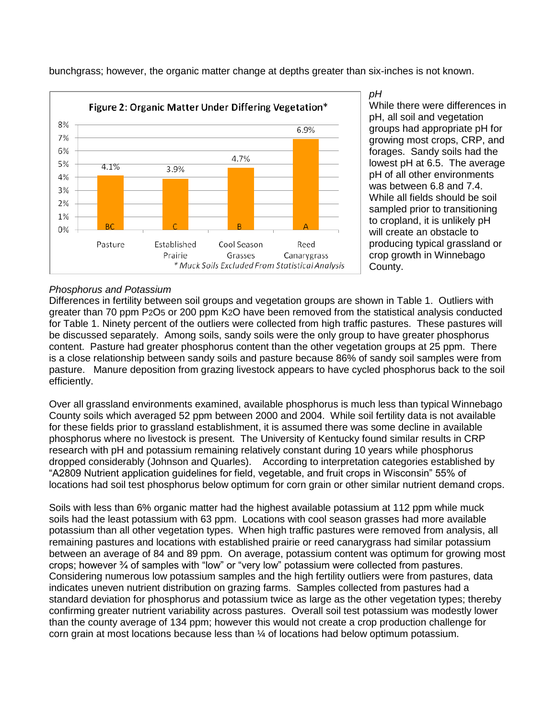

bunchgrass; however, the organic matter change at depths greater than six-inches is not known.

#### *pH* While there were differences in pH, all soil and vegetation groups had appropriate pH for growing most crops, CRP, and forages. Sandy soils had the lowest pH at 6.5. The average pH of all other environments was between 6.8 and 7.4. While all fields should be soil sampled prior to transitioning to cropland, it is unlikely pH will create an obstacle to producing typical grassland or crop growth in Winnebago County.

# *Phosphorus and Potassium*

Differences in fertility between soil groups and vegetation groups are shown in Table 1. Outliers with greater than 70 ppm P2O5 or 200 ppm K2O have been removed from the statistical analysis conducted for Table 1. Ninety percent of the outliers were collected from high traffic pastures. These pastures will be discussed separately. Among soils, sandy soils were the only group to have greater phosphorus content. Pasture had greater phosphorus content than the other vegetation groups at 25 ppm. There is a close relationship between sandy soils and pasture because 86% of sandy soil samples were from pasture. Manure deposition from grazing livestock appears to have cycled phosphorus back to the soil efficiently.

Over all grassland environments examined, available phosphorus is much less than typical Winnebago County soils which averaged 52 ppm between 2000 and 2004. While soil fertility data is not available for these fields prior to grassland establishment, it is assumed there was some decline in available phosphorus where no livestock is present. The University of Kentucky found similar results in CRP research with pH and potassium remaining relatively constant during 10 years while phosphorus dropped considerably (Johnson and Quarles). According to interpretation categories established by "A2809 Nutrient application guidelines for field, vegetable, and fruit crops in Wisconsin" 55% of locations had soil test phosphorus below optimum for corn grain or other similar nutrient demand crops.

Soils with less than 6% organic matter had the highest available potassium at 112 ppm while muck soils had the least potassium with 63 ppm. Locations with cool season grasses had more available potassium than all other vegetation types. When high traffic pastures were removed from analysis, all remaining pastures and locations with established prairie or reed canarygrass had similar potassium between an average of 84 and 89 ppm. On average, potassium content was optimum for growing most crops; however ¾ of samples with "low" or "very low" potassium were collected from pastures. Considering numerous low potassium samples and the high fertility outliers were from pastures, data indicates uneven nutrient distribution on grazing farms. Samples collected from pastures had a standard deviation for phosphorus and potassium twice as large as the other vegetation types; thereby confirming greater nutrient variability across pastures. Overall soil test potassium was modestly lower than the county average of 134 ppm; however this would not create a crop production challenge for corn grain at most locations because less than ¼ of locations had below optimum potassium.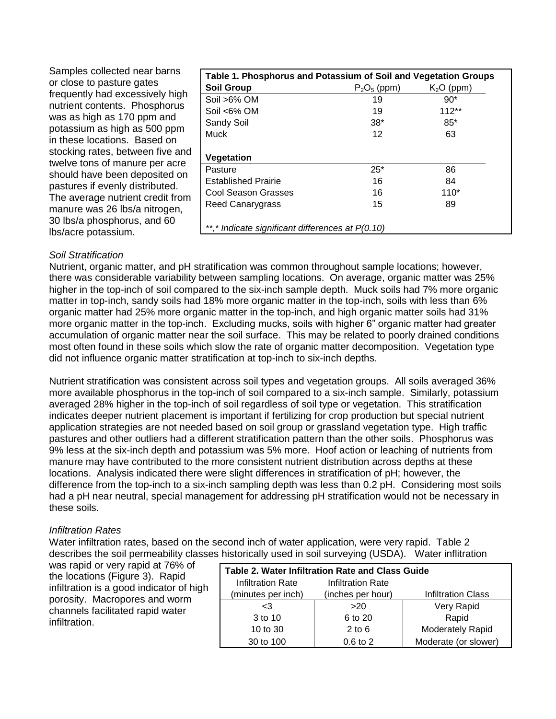| Samples collected near barns                                       | Table 1. Phosphorus and Potassium of Soil and Vegetation Groups |                |             |
|--------------------------------------------------------------------|-----------------------------------------------------------------|----------------|-------------|
| or close to pasture gates                                          | <b>Soil Group</b>                                               | $P_2O_5$ (ppm) | $K2O$ (ppm) |
| frequently had excessively high                                    | Soil >6% OM                                                     | 19             | $90*$       |
| nutrient contents. Phosphorus                                      | Soil <6% OM                                                     | 19             | $112**$     |
| was as high as 170 ppm and<br>potassium as high as 500 ppm         | Sandy Soil                                                      | $38*$          | $85*$       |
| in these locations. Based on                                       | <b>Muck</b>                                                     | 12             | 63          |
| stocking rates, between five and<br>twelve tons of manure per acre | Vegetation                                                      |                |             |
| should have been deposited on                                      | Pasture                                                         | $25*$          | 86          |
| pastures if evenly distributed.                                    | <b>Established Prairie</b>                                      | 16             | 84          |
| The average nutrient credit from                                   | <b>Cool Season Grasses</b>                                      | 16             | $110*$      |
| manure was 26 lbs/a nitrogen,<br>30 lbs/a phosphorus, and 60       | Reed Canarygrass                                                | 15             | 89          |
| Ibs/acre potassium.                                                | **,* Indicate significant differences at P(0.10)                |                |             |

# *Soil Stratification*

Nutrient, organic matter, and pH stratification was common throughout sample locations; however, there was considerable variability between sampling locations. On average, organic matter was 25% higher in the top-inch of soil compared to the six-inch sample depth. Muck soils had 7% more organic matter in top-inch, sandy soils had 18% more organic matter in the top-inch, soils with less than 6% organic matter had 25% more organic matter in the top-inch, and high organic matter soils had 31% more organic matter in the top-inch. Excluding mucks, soils with higher 6" organic matter had greater accumulation of organic matter near the soil surface. This may be related to poorly drained conditions most often found in these soils which slow the rate of organic matter decomposition. Vegetation type did not influence organic matter stratification at top-inch to six-inch depths.

Nutrient stratification was consistent across soil types and vegetation groups. All soils averaged 36% more available phosphorus in the top-inch of soil compared to a six-inch sample. Similarly, potassium averaged 28% higher in the top-inch of soil regardless of soil type or vegetation. This stratification indicates deeper nutrient placement is important if fertilizing for crop production but special nutrient application strategies are not needed based on soil group or grassland vegetation type. High traffic pastures and other outliers had a different stratification pattern than the other soils. Phosphorus was 9% less at the six-inch depth and potassium was 5% more. Hoof action or leaching of nutrients from manure may have contributed to the more consistent nutrient distribution across depths at these locations. Analysis indicated there were slight differences in stratification of pH; however, the difference from the top-inch to a six-inch sampling depth was less than 0.2 pH. Considering most soils had a pH near neutral, special management for addressing pH stratification would not be necessary in these soils.

# *Infiltration Rates*

Water infiltration rates, based on the second inch of water application, were very rapid. Table 2 describes the soil permeability classes historically used in soil surveying (USDA). Water inflitration

was rapid or very rapid at 76% of the locations (Figure 3). Rapid infiltration is a good indicator of high porosity. Macropores and worm channels facilitated rapid water infiltration.

| Table 2. Water Infiltration Rate and Class Guide |                   |                           |  |
|--------------------------------------------------|-------------------|---------------------------|--|
| Infiltration Rate                                | Infiltration Rate |                           |  |
| (minutes per inch)                               | (inches per hour) | <b>Infiltration Class</b> |  |
| $\leq$ 3                                         | >20               | Very Rapid                |  |
| 3 to 10                                          | 6 to 20           | Rapid                     |  |
| 10 to 30                                         | $2$ to 6          | <b>Moderately Rapid</b>   |  |
| 30 to 100                                        | $0.6$ to $2$      | Moderate (or slower)      |  |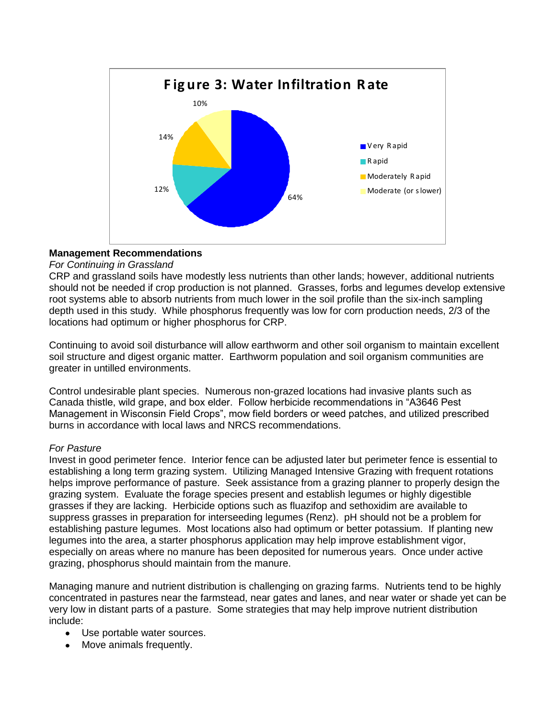

# **Management Recommendations**

### *For Continuing in Grassland*

CRP and grassland soils have modestly less nutrients than other lands; however, additional nutrients should not be needed if crop production is not planned. Grasses, forbs and legumes develop extensive root systems able to absorb nutrients from much lower in the soil profile than the six-inch sampling depth used in this study. While phosphorus frequently was low for corn production needs, 2/3 of the locations had optimum or higher phosphorus for CRP.

Continuing to avoid soil disturbance will allow earthworm and other soil organism to maintain excellent soil structure and digest organic matter. Earthworm population and soil organism communities are greater in untilled environments.

Control undesirable plant species. Numerous non-grazed locations had invasive plants such as Canada thistle, wild grape, and box elder. Follow herbicide recommendations in "A3646 Pest Management in Wisconsin Field Crops", mow field borders or weed patches, and utilized prescribed burns in accordance with local laws and NRCS recommendations.

# *For Pasture*

Invest in good perimeter fence. Interior fence can be adjusted later but perimeter fence is essential to establishing a long term grazing system. Utilizing Managed Intensive Grazing with frequent rotations helps improve performance of pasture. Seek assistance from a grazing planner to properly design the grazing system. Evaluate the forage species present and establish legumes or highly digestible grasses if they are lacking. Herbicide options such as fluazifop and sethoxidim are available to suppress grasses in preparation for interseeding legumes (Renz). pH should not be a problem for establishing pasture legumes. Most locations also had optimum or better potassium. If planting new legumes into the area, a starter phosphorus application may help improve establishment vigor, especially on areas where no manure has been deposited for numerous years. Once under active grazing, phosphorus should maintain from the manure.

Managing manure and nutrient distribution is challenging on grazing farms. Nutrients tend to be highly concentrated in pastures near the farmstead, near gates and lanes, and near water or shade yet can be very low in distant parts of a pasture. Some strategies that may help improve nutrient distribution include:

- Use portable water sources.
- Move animals frequently.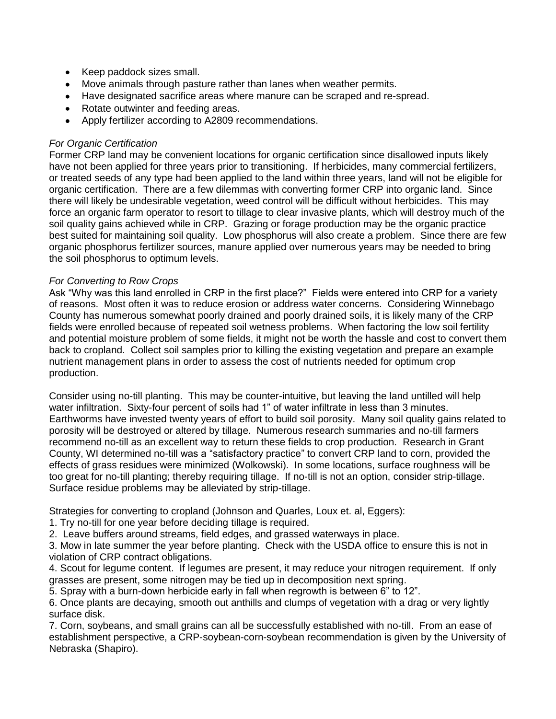- Keep paddock sizes small.
- Move animals through pasture rather than lanes when weather permits.
- Have designated sacrifice areas where manure can be scraped and re-spread.
- Rotate outwinter and feeding areas.
- Apply fertilizer according to A2809 recommendations.

### *For Organic Certification*

Former CRP land may be convenient locations for organic certification since disallowed inputs likely have not been applied for three years prior to transitioning. If herbicides, many commercial fertilizers, or treated seeds of any type had been applied to the land within three years, land will not be eligible for organic certification. There are a few dilemmas with converting former CRP into organic land. Since there will likely be undesirable vegetation, weed control will be difficult without herbicides. This may force an organic farm operator to resort to tillage to clear invasive plants, which will destroy much of the soil quality gains achieved while in CRP. Grazing or forage production may be the organic practice best suited for maintaining soil quality. Low phosphorus will also create a problem. Since there are few organic phosphorus fertilizer sources, manure applied over numerous years may be needed to bring the soil phosphorus to optimum levels.

# *For Converting to Row Crops*

Ask "Why was this land enrolled in CRP in the first place?" Fields were entered into CRP for a variety of reasons. Most often it was to reduce erosion or address water concerns. Considering Winnebago County has numerous somewhat poorly drained and poorly drained soils, it is likely many of the CRP fields were enrolled because of repeated soil wetness problems. When factoring the low soil fertility and potential moisture problem of some fields, it might not be worth the hassle and cost to convert them back to cropland. Collect soil samples prior to killing the existing vegetation and prepare an example nutrient management plans in order to assess the cost of nutrients needed for optimum crop production.

Consider using no-till planting. This may be counter-intuitive, but leaving the land untilled will help water infiltration. Sixty-four percent of soils had 1" of water infiltrate in less than 3 minutes. Earthworms have invested twenty years of effort to build soil porosity. Many soil quality gains related to porosity will be destroyed or altered by tillage. Numerous research summaries and no-till farmers recommend no-till as an excellent way to return these fields to crop production. Research in Grant County, WI determined no-till was a "satisfactory practice" to convert CRP land to corn, provided the effects of grass residues were minimized (Wolkowski). In some locations, surface roughness will be too great for no-till planting; thereby requiring tillage. If no-till is not an option, consider strip-tillage. Surface residue problems may be alleviated by strip-tillage.

Strategies for converting to cropland (Johnson and Quarles, Loux et. al. Eggers):

- 1. Try no-till for one year before deciding tillage is required.
- 2. Leave buffers around streams, field edges, and grassed waterways in place.

3. Mow in late summer the year before planting. Check with the USDA office to ensure this is not in violation of CRP contract obligations.

4. Scout for legume content. If legumes are present, it may reduce your nitrogen requirement. If only grasses are present, some nitrogen may be tied up in decomposition next spring.

5. Spray with a burn-down herbicide early in fall when regrowth is between 6" to 12".

6. Once plants are decaying, smooth out anthills and clumps of vegetation with a drag or very lightly surface disk.

7. Corn, soybeans, and small grains can all be successfully established with no-till. From an ease of establishment perspective, a CRP-soybean-corn-soybean recommendation is given by the University of Nebraska (Shapiro).